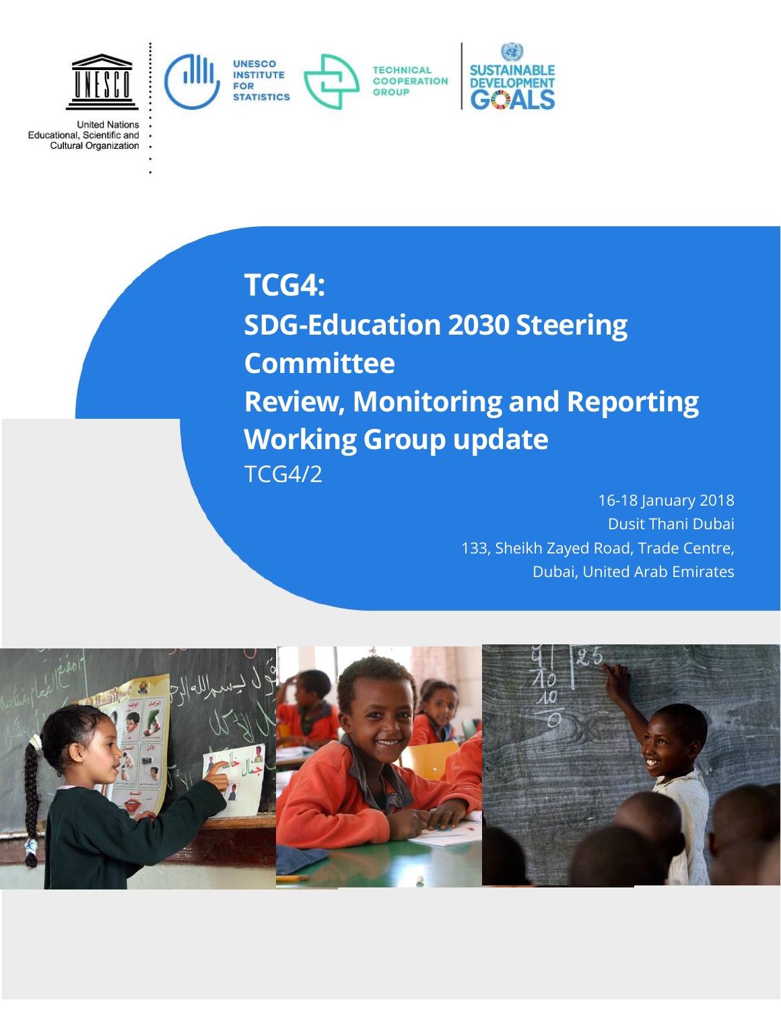

**TCG4:**

**United Nations** 

Educational, Scientific and<br>Cultural Organization

**SDG-Education 2030 Steering Committee Review, Monitoring and Reporting Working Group update** TCG4/2

> 16-18 January 2018 Dusit Thani Dubai 133, Sheikh Zayed Road, Trade Centre, Dubai, United Arab Emirates

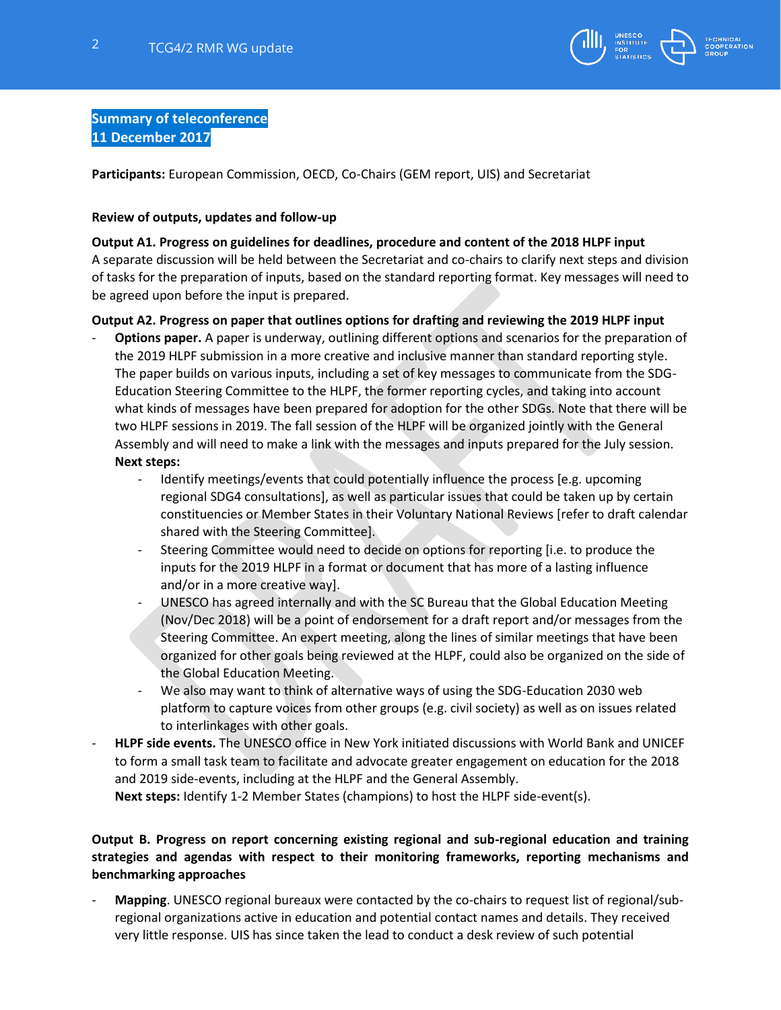

## **Summary of teleconference 11 December 2017**

**Participants:** European Commission, OECD, Co-Chairs (GEM report, UIS) and Secretariat

#### **Review of outputs, updates and follow-up**

#### **Output A1. Progress on guidelines for deadlines, procedure and content of the 2018 HLPF input**

A separate discussion will be held between the Secretariat and co-chairs to clarify next steps and division of tasks for the preparation of inputs, based on the standard reporting format. Key messages will need to be agreed upon before the input is prepared.

### **Output A2. Progress on paper that outlines options for drafting and reviewing the 2019 HLPF input**

- Options paper. A paper is underway, outlining different options and scenarios for the preparation of the 2019 HLPF submission in a more creative and inclusive manner than standard reporting style. The paper builds on various inputs, including a set of key messages to communicate from the SDG-Education Steering Committee to the HLPF, the former reporting cycles, and taking into account what kinds of messages have been prepared for adoption for the other SDGs. Note that there will be two HLPF sessions in 2019. The fall session of the HLPF will be organized jointly with the General Assembly and will need to make a link with the messages and inputs prepared for the July session. **Next steps:**
	- Identify meetings/events that could potentially influence the process [e.g. upcoming regional SDG4 consultations], as well as particular issues that could be taken up by certain constituencies or Member States in their Voluntary National Reviews [refer to draft calendar shared with the Steering Committee].
	- Steering Committee would need to decide on options for reporting [i.e. to produce the inputs for the 2019 HLPF in a format or document that has more of a lasting influence and/or in a more creative way].
	- UNESCO has agreed internally and with the SC Bureau that the Global Education Meeting (Nov/Dec 2018) will be a point of endorsement for a draft report and/or messages from the Steering Committee. An expert meeting, along the lines of similar meetings that have been organized for other goals being reviewed at the HLPF, could also be organized on the side of the Global Education Meeting.
	- We also may want to think of alternative ways of using the SDG-Education 2030 web platform to capture voices from other groups (e.g. civil society) as well as on issues related to interlinkages with other goals.
- **HLPF side events.** The UNESCO office in New York initiated discussions with World Bank and UNICEF to form a small task team to facilitate and advocate greater engagement on education for the 2018 and 2019 side-events, including at the HLPF and the General Assembly.

**Next steps:** Identify 1-2 Member States (champions) to host the HLPF side-event(s).

## **Output B. Progress on report concerning existing regional and sub-regional education and training strategies and agendas with respect to their monitoring frameworks, reporting mechanisms and benchmarking approaches**

- **Mapping**. UNESCO regional bureaux were contacted by the co-chairs to request list of regional/subregional organizations active in education and potential contact names and details. They received very little response. UIS has since taken the lead to conduct a desk review of such potential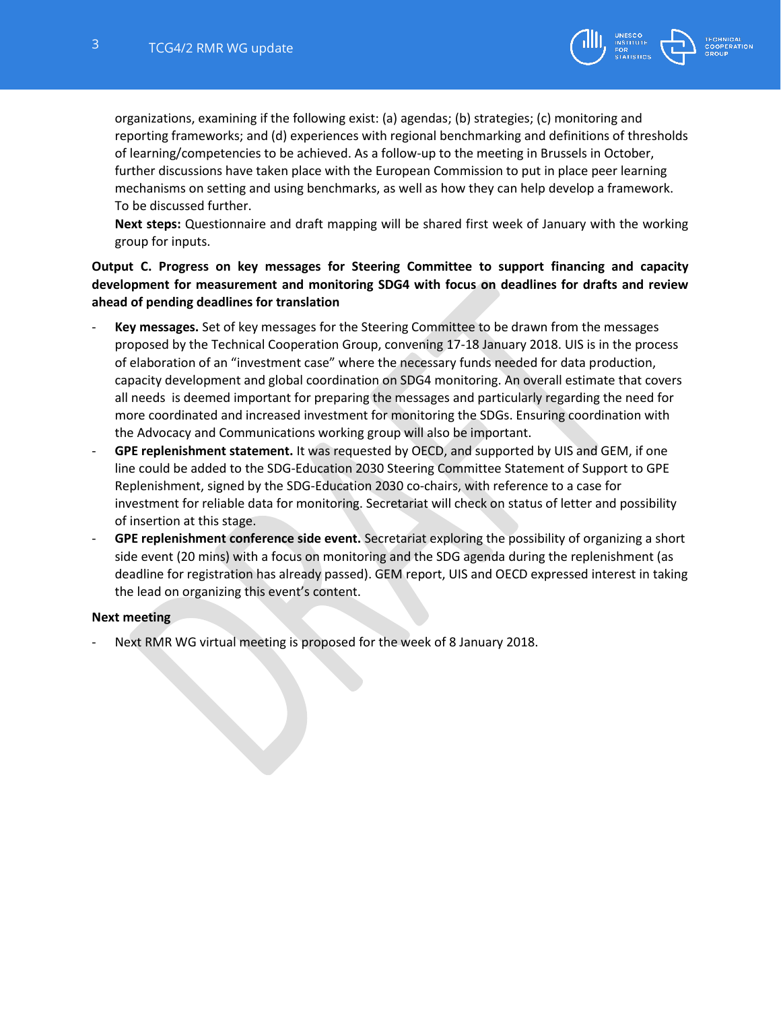

organizations, examining if the following exist: (a) agendas; (b) strategies; (c) monitoring and reporting frameworks; and (d) experiences with regional benchmarking and definitions of thresholds of learning/competencies to be achieved. As a follow-up to the meeting in Brussels in October, further discussions have taken place with the European Commission to put in place peer learning mechanisms on setting and using benchmarks, as well as how they can help develop a framework. To be discussed further.

**Next steps:** Questionnaire and draft mapping will be shared first week of January with the working group for inputs.

## **Output C. Progress on key messages for Steering Committee to support financing and capacity development for measurement and monitoring SDG4 with focus on deadlines for drafts and review ahead of pending deadlines for translation**

- **Key messages.** Set of key messages for the Steering Committee to be drawn from the messages proposed by the Technical Cooperation Group, convening 17-18 January 2018. UIS is in the process of elaboration of an "investment case" where the necessary funds needed for data production, capacity development and global coordination on SDG4 monitoring. An overall estimate that covers all needs is deemed important for preparing the messages and particularly regarding the need for more coordinated and increased investment for monitoring the SDGs. Ensuring coordination with the Advocacy and Communications working group will also be important.
- **GPE replenishment statement.** It was requested by OECD, and supported by UIS and GEM, if one line could be added to the SDG-Education 2030 Steering Committee Statement of Support to GPE Replenishment, signed by the SDG-Education 2030 co-chairs, with reference to a case for investment for reliable data for monitoring. Secretariat will check on status of letter and possibility of insertion at this stage.
- **GPE replenishment conference side event.** Secretariat exploring the possibility of organizing a short side event (20 mins) with a focus on monitoring and the SDG agenda during the replenishment (as deadline for registration has already passed). GEM report, UIS and OECD expressed interest in taking the lead on organizing this event's content.

#### **Next meeting**

Next RMR WG virtual meeting is proposed for the week of 8 January 2018.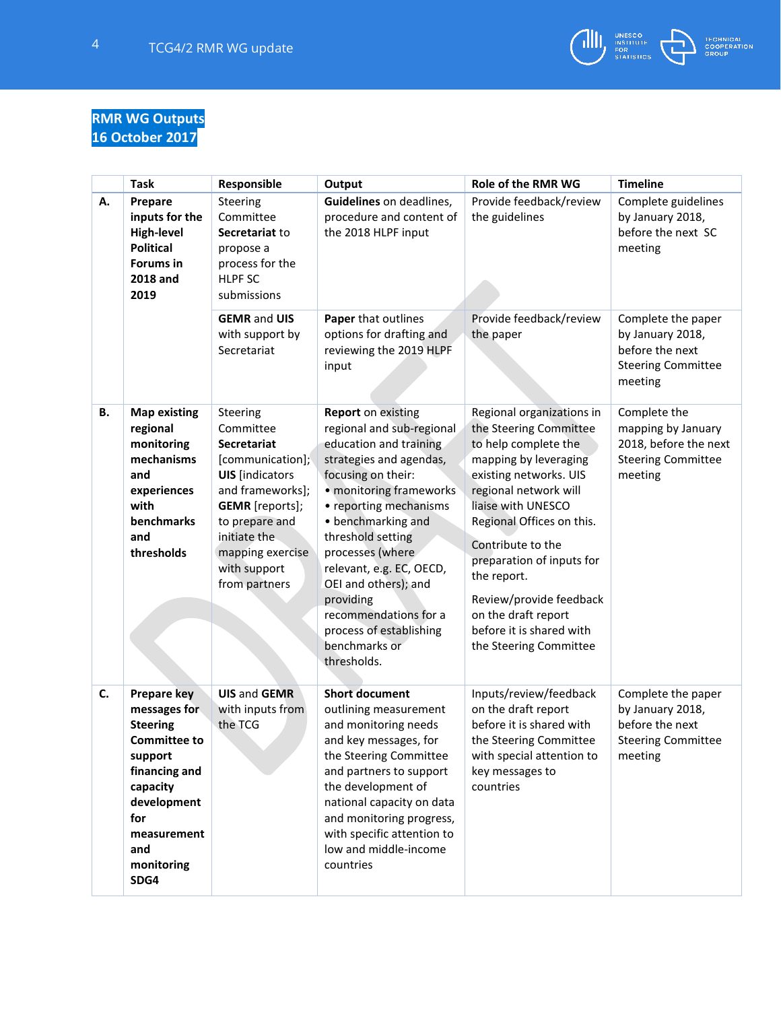

# **RMR WG Outputs 16 October 2017**

|    | <b>Task</b>                                                                                                                                                                            | Responsible                                                                                                                                                                                                                    | Output                                                                                                                                                                                                                                                                                                                                                                                                     | Role of the RMR WG                                                                                                                                                                                                                                                                                                                                                                  | <b>Timeline</b>                                                                                     |
|----|----------------------------------------------------------------------------------------------------------------------------------------------------------------------------------------|--------------------------------------------------------------------------------------------------------------------------------------------------------------------------------------------------------------------------------|------------------------------------------------------------------------------------------------------------------------------------------------------------------------------------------------------------------------------------------------------------------------------------------------------------------------------------------------------------------------------------------------------------|-------------------------------------------------------------------------------------------------------------------------------------------------------------------------------------------------------------------------------------------------------------------------------------------------------------------------------------------------------------------------------------|-----------------------------------------------------------------------------------------------------|
| А. | Prepare<br>inputs for the<br><b>High-level</b><br><b>Political</b><br><b>Forums in</b><br>2018 and<br>2019                                                                             | Steering<br>Committee<br>Secretariat to<br>propose a<br>process for the<br><b>HLPF SC</b><br>submissions                                                                                                                       | Guidelines on deadlines,<br>procedure and content of<br>the 2018 HLPF input                                                                                                                                                                                                                                                                                                                                | Provide feedback/review<br>the guidelines                                                                                                                                                                                                                                                                                                                                           | Complete guidelines<br>by January 2018,<br>before the next SC<br>meeting                            |
|    |                                                                                                                                                                                        | <b>GEMR and UIS</b><br>with support by<br>Secretariat                                                                                                                                                                          | Paper that outlines<br>options for drafting and<br>reviewing the 2019 HLPF<br>input                                                                                                                                                                                                                                                                                                                        | Provide feedback/review<br>the paper                                                                                                                                                                                                                                                                                                                                                | Complete the paper<br>by January 2018,<br>before the next<br><b>Steering Committee</b><br>meeting   |
| В. | <b>Map existing</b><br>regional<br>monitoring<br>mechanisms<br>and<br>experiences<br>with<br>benchmarks<br>and<br>thresholds                                                           | Steering<br>Committee<br><b>Secretariat</b><br>[communication];<br><b>UIS</b> [indicators<br>and frameworks];<br><b>GEMR</b> [reports];<br>to prepare and<br>initiate the<br>mapping exercise<br>with support<br>from partners | <b>Report</b> on existing<br>regional and sub-regional<br>education and training<br>strategies and agendas,<br>focusing on their:<br>• monitoring frameworks<br>• reporting mechanisms<br>• benchmarking and<br>threshold setting<br>processes (where<br>relevant, e.g. EC, OECD,<br>OEI and others); and<br>providing<br>recommendations for a<br>process of establishing<br>benchmarks or<br>thresholds. | Regional organizations in<br>the Steering Committee<br>to help complete the<br>mapping by leveraging<br>existing networks. UIS<br>regional network will<br>liaise with UNESCO<br>Regional Offices on this.<br>Contribute to the<br>preparation of inputs for<br>the report.<br>Review/provide feedback<br>on the draft report<br>before it is shared with<br>the Steering Committee | Complete the<br>mapping by January<br>2018, before the next<br><b>Steering Committee</b><br>meeting |
| C. | <b>Prepare key</b><br>messages for<br><b>Steering</b><br><b>Committee to</b><br>support<br>financing and<br>capacity<br>development<br>for<br>measurement<br>and<br>monitoring<br>SDG4 | <b>UIS and GEMR</b><br>with inputs from<br>the TCG                                                                                                                                                                             | <b>Short document</b><br>outlining measurement<br>and monitoring needs<br>and key messages, for<br>the Steering Committee<br>and partners to support<br>the development of<br>national capacity on data<br>and monitoring progress,<br>with specific attention to<br>low and middle-income<br>countries                                                                                                    | Inputs/review/feedback<br>on the draft report<br>before it is shared with<br>the Steering Committee<br>with special attention to<br>key messages to<br>countries                                                                                                                                                                                                                    | Complete the paper<br>by January 2018,<br>before the next<br><b>Steering Committee</b><br>meeting   |